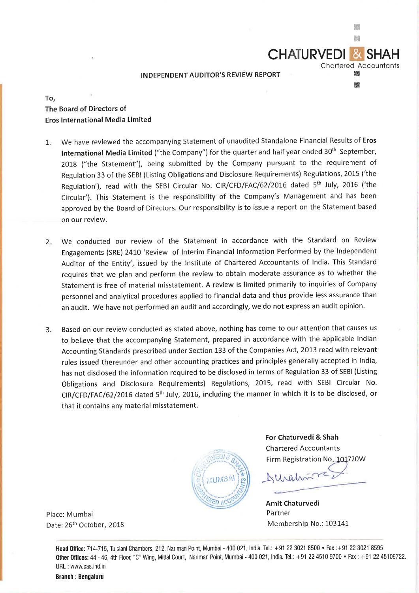## **INDEPENDENT AUDITOR'S REVIEW REPORT**

# **To, The Board of Directors of Eros International Media Limited**

- 1. We have reviewed the accompanying Statement of unaudited Standalone Financial Results of **Eros International Media Limited** ("the Company") for the quarter and half year ended 30<sup>th</sup> September, 2018 ("the Statement"), being submitted by the Company pursuant to the requirement of Regulation 33 of the SEBI (Listing Obligations and Disclosure Requirements) Regulations, 2015 ('the Regulation'), read with the SEBI Circular No. CIR/CFD/FAC/62/2016 dated 5<sup>th</sup> July, 2016 ('the Circular'). This Statement is the responsibility of the Company's Management and has been approved by the Board of Directors. Our responsibility is to issue a report on the Statement based on our review.
- 2. We conducted our review of the Statement in accordance with the Standard on Review Engagements (SRE) 2410 'Review of Interim Financial Information Performed by the Independent Auditor of the Entity', issued by the Institute of Chartered Accountants of India. This Standard requires that we plan and perform the review to obtain moderate assurance as to whether the Statement is free of material misstatement. A review is limited primarily to inquiries of Company personnel and analytical procedures applied to financial data and thus provide less assurance than an audit. We have not performed an audit and accordingly, we do not express an audit opinion.
- 3. Based on our review conducted as stated above, nothing has come to our attention that causes us to believe that the accompanying Statement, prepared in accordance with the applicable Indian Accounting Standards prescribed under Section 133 of the Companies Act, 2013 read with relevant rules issued thereunder and other accounting practices and principles generally accepted in India, has not disclosed the information required to be disclosed in terms of Regulation 33 of SEBI (Listing Obligations and Disclosure Requirements) Regulations, 2015, read with SEBI Circular No. CIR/CFD/FAC/62/2016 dated 5th July, 2016, including the manner in which it is to be disclosed, or that it contains any material misstatement.



**For Chaturvedi** & **Shah**  Chartered Accountants Firm Registration No. 101720W

**CHATURVEDI &** 

Chartered Accountants **EXERN RI** 

臘 腳

~~ -----

**Amit Chaturvedi**  Partner Membership No.: 103141

Place: Mumbai Date: 26<sup>th</sup> October, 2018

Head Office: 714-715, Tulsiani Chambers, 212, Nariman Point, Mumbai - 400 021, India. Tel.: +91 22 3021 8500 • Fax : +91 22 3021 8595 **Other Offices:** 44 - 46, 4th Floor, "C" Wing, Mittal Court, Nariman Point, Mumbai - <sup>400</sup>021, India. Tel.: +91 22 4510 9700 • Fax : +91 22 45109722. URL : www.cas.ind.in

**Branch** : **Bengaluru**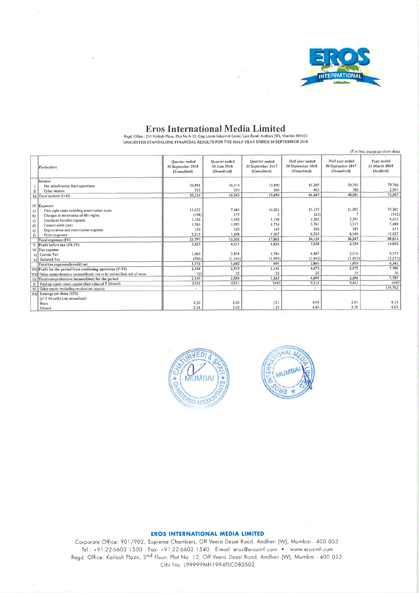

Eros International Media Limited<br>Regel Office : 201 Kailash Plaza, Plot No A-12, Opp Laxmi Industrial Estate, Link Road, Andheri (W), Mumbai 400053<br>UNAUDITED STANDALONE FINANCIAL RESULTS FOR THE HALF YEAR ENDED 30 SEPTEMBE

|                           |                                                                                                       |                                                   |                                              |                                                   |                                                     |                                                     | (₹ in lacs, except per share data)       |
|---------------------------|-------------------------------------------------------------------------------------------------------|---------------------------------------------------|----------------------------------------------|---------------------------------------------------|-----------------------------------------------------|-----------------------------------------------------|------------------------------------------|
|                           | Particulars                                                                                           | Quarter ended<br>30 September 2018<br>(Unaudited) | Quarter ended<br>30 June 2018<br>(Unaudited) | Quarter ended<br>30 September 2017<br>(Unaudited) | Half year ended<br>30 September 2018<br>(Unaudited) | Half year ended<br>30 September 2017<br>(Unaudited) | Year ended<br>31 March 2018<br>(Audited) |
|                           | Income                                                                                                |                                                   |                                              |                                                   |                                                     |                                                     |                                          |
|                           | Net sales/income from operations                                                                      | 24.891                                            | 16,314                                       | 19,490                                            | 41,205                                              | 39,301                                              | 70,766                                   |
|                           | Other income                                                                                          | 233                                               | 229                                          | 204                                               | 462                                                 | 780                                                 | 2,091                                    |
|                           | III Total income (I+II)                                                                               | 25,124                                            | 16,543                                       | 19,694                                            | 41.667                                              | 40.081                                              | 72,857                                   |
| a)<br>b)                  | IV Expenses<br>Film right costs including amortization costs<br>Changes in inventories of film rights | 13.672<br>(198)                                   | 7,481<br>177                                 | 10,261                                            | 21,153<br>(21)                                      | 21,203                                              | 33,201<br>(142)                          |
| c)                        | Employee benefits expense                                                                             | 1,103                                             | 1.102                                        | 1,194                                             | 2,205                                               | 2,391                                               | 4,625                                    |
| (d)                       | Finance costs (net)                                                                                   | 1,766                                             | 1.995                                        | 1,754                                             | 3,761                                               | 3.515                                               | 7,488                                    |
| c)                        | Depreciation and amortization expense                                                                 | 139                                               | 129                                          | 143                                               | 268                                                 | 285                                                 | 615                                      |
| $\theta$                  | Other expenses                                                                                        | 5,315                                             | 1,448                                        | 4.507                                             | 6.763                                               | 8,946                                               | 13,027                                   |
|                           | Total expenses (IV)                                                                                   | 21,797                                            | 12,332                                       | 17,862                                            | 34.129                                              | 36.347                                              | 58,814                                   |
| $\vee$                    | Profit before tax (III-IV)                                                                            | 3,327                                             | 4,211                                        | 1,832                                             | 7,538                                               | 3.734                                               | 14,043                                   |
|                           | VI Tax expense                                                                                        |                                                   |                                              |                                                   |                                                     |                                                     |                                          |
|                           | a) Current Tax                                                                                        | 1,969                                             | 2,838                                        | 1,786                                             | 4,807                                               | 2,916                                               | 9.575                                    |
|                           | b) Deferred Tax                                                                                       | (796)                                             | (1.146)                                      | (1.095)                                           | (1.942)                                             | (1.457)                                             | (3.233)                                  |
|                           | Total tax expenses/(credit) net                                                                       | 1,173                                             | 1,692                                        | 691                                               | 2,865                                               | 1.459                                               | 6.342                                    |
|                           | VII Profit for the period from continuing operation (V-VI)                                            | 2,154                                             | 2,519                                        | 1,141                                             | 4,673                                               | 2,275                                               | 7,701                                    |
|                           | VIII Other comprehensive income/(loss); not to be reclassified- net of taxes                          | (9)                                               | 35                                           | 22                                                | 26                                                  | $\vert 0 \rangle$                                   | 56                                       |
| <b>IX</b>                 | Total comprehensive income/(loss) for the period                                                      | 2,145                                             | 2.554                                        | 1,163                                             | 4.699                                               | 2.294                                               | 7,757                                    |
| $\boldsymbol{\mathsf{x}}$ | Paid-up equity share capital (face value of ₹ 10 each)                                                | 9,511                                             | 9.511                                        | 9445                                              | 9.511                                               | 9.445                                               | 9497                                     |
| X                         | Other equity excluding revaluation reserve                                                            | ÷                                                 | 21                                           | œ.                                                | $\mathcal{L}$                                       | $\sim$                                              | 134.702                                  |
| $x$ <sub>II</sub>         | Earnings per share (EPS)<br>(of ₹ 10 each) (not annualised)                                           |                                                   |                                              |                                                   | 4.91                                                | 2.41                                                | 8.15                                     |
|                           | <b>Basic</b>                                                                                          | $2 - 26$                                          | 2.65<br>2.62                                 | 1.21<br>1.19                                      | 4.86                                                | 2.38                                                | 8.03                                     |
|                           | Diluted                                                                                               | 2.24                                              |                                              |                                                   |                                                     |                                                     |                                          |





### **EROS INTERNATIONAL MEDIA LIMITED**

Corporate Office: 901/902, Supreme Chambers, Off Veera Desai Road, Andheri (W), Mumbai - 400 053. Tel.: +91-22-6602 1500 Fax: +91-22-6602 1540 E-mail: eros@erosintl.com . www.erosintl.com Regd. Office: Kailash Plaza, 2nd Floor, Plot No. 12, Off Veera Desai Road, Andheri (W), Mumbai - 400 053 CIN No. 199999MH1994PLC080502